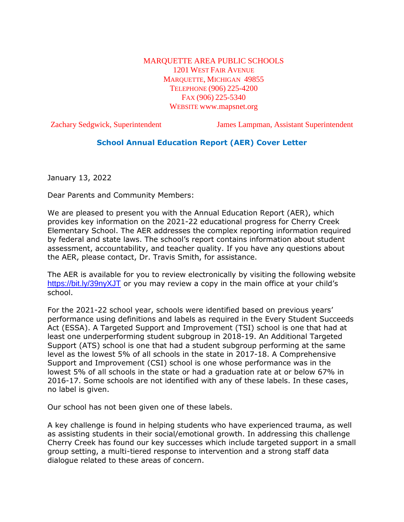#### MARQUETTE AREA PUBLIC SCHOOLS 1201 WEST FAIR AVENUE MARQUETTE, MICHIGAN 49855 TELEPHONE (906) 225-4200 FAX (906) 225-5340 WEBSITE www.mapsnet.org

Zachary Sedgwick, Superintendent James Lampman, Assistant Superintendent

# **School Annual Education Report (AER) Cover Letter**

January 13, 2022

Dear Parents and Community Members:

We are pleased to present you with the Annual Education Report (AER), which provides key information on the 2021-22 educational progress for Cherry Creek Elementary School. The AER addresses the complex reporting information required by federal and state laws. The school's report contains information about student assessment, accountability, and teacher quality. If you have any questions about the AER, please contact, Dr. Travis Smith, for assistance.

The AER is available for you to review electronically by visiting the following website <https://bit.ly/39nyXJT> or you may review a copy in the main office at your child's school.

For the 2021-22 school year, schools were identified based on previous years' performance using definitions and labels as required in the Every Student Succeeds Act (ESSA). A Targeted Support and Improvement (TSI) school is one that had at least one underperforming student subgroup in 2018-19. An Additional Targeted Support (ATS) school is one that had a student subgroup performing at the same level as the lowest 5% of all schools in the state in 2017-18. A Comprehensive Support and Improvement (CSI) school is one whose performance was in the lowest 5% of all schools in the state or had a graduation rate at or below 67% in 2016-17. Some schools are not identified with any of these labels. In these cases, no label is given.

Our school has not been given one of these labels.

A key challenge is found in helping students who have experienced trauma, as well as assisting students in their social/emotional growth. In addressing this challenge Cherry Creek has found our key successes which include targeted support in a small group setting, a multi-tiered response to intervention and a strong staff data dialogue related to these areas of concern.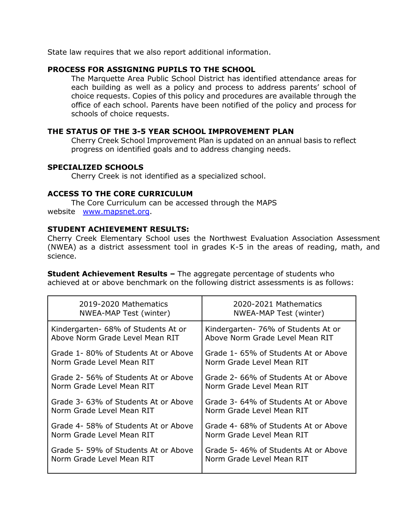State law requires that we also report additional information.

### **PROCESS FOR ASSIGNING PUPILS TO THE SCHOOL**

The Marquette Area Public School District has identified attendance areas for each building as well as a policy and process to address parents' school of choice requests. Copies of this policy and procedures are available through the office of each school. Parents have been notified of the policy and process for schools of choice requests.

#### **THE STATUS OF THE 3-5 YEAR SCHOOL IMPROVEMENT PLAN**

Cherry Creek School Improvement Plan is updated on an annual basis to reflect progress on identified goals and to address changing needs.

### **SPECIALIZED SCHOOLS**

Cherry Creek is not identified as a specialized school.

### **ACCESS TO THE CORE CURRICULUM**

The Core Curriculum can be accessed through the MAPS website [www.mapsnet.org.](http://www.mapsnet.org/)

### **STUDENT ACHIEVEMENT RESULTS:**

Cherry Creek Elementary School uses the Northwest Evaluation Association Assessment (NWEA) as a district assessment tool in grades K-5 in the areas of reading, math, and science.

**Student Achievement Results –** The aggregate percentage of students who achieved at or above benchmark on the following district assessments is as follows:

| 2019-2020 Mathematics                | 2020-2021 Mathematics                |
|--------------------------------------|--------------------------------------|
| NWEA-MAP Test (winter)               | NWEA-MAP Test (winter)               |
| Kindergarten- 68% of Students At or  | Kindergarten- 76% of Students At or  |
| Above Norm Grade Level Mean RIT      | Above Norm Grade Level Mean RIT      |
| Grade 1-80% of Students At or Above  | Grade 1-65% of Students At or Above  |
| Norm Grade Level Mean RIT            | Norm Grade Level Mean RIT            |
| Grade 2-56% of Students At or Above  | Grade 2- 66% of Students At or Above |
| Norm Grade Level Mean RIT            | Norm Grade Level Mean RIT            |
| Grade 3- 63% of Students At or Above | Grade 3- 64% of Students At or Above |
| Norm Grade Level Mean RIT            | Norm Grade Level Mean RIT            |
| Grade 4-58% of Students At or Above  | Grade 4- 68% of Students At or Above |
| Norm Grade Level Mean RIT            | Norm Grade Level Mean RIT            |
| Grade 5-59% of Students At or Above  | Grade 5-46% of Students At or Above  |
| Norm Grade Level Mean RIT            | Norm Grade Level Mean RIT            |
|                                      |                                      |